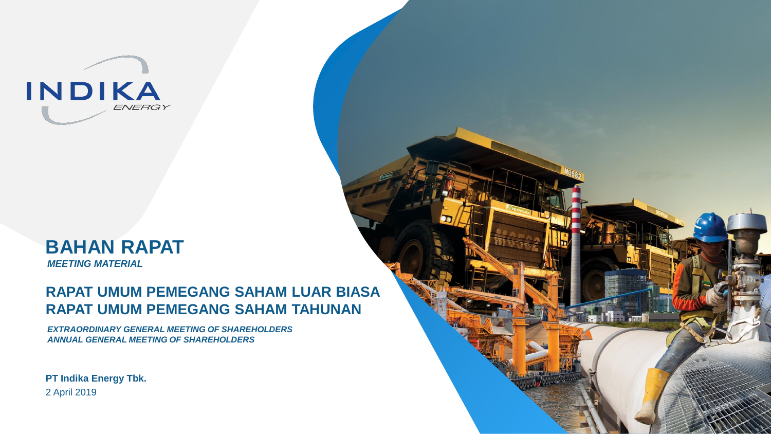

# **BAHAN RAPAT** *MEETING MATERIAL*

# **RAPAT UMUM PEMEGANG SAHAM LUAR BIASA RAPAT UMUM PEMEGANG SAHAM TAHUNAN**

*EXTRAORDINARY GENERAL MEETING OF SHAREHOLDERS ANNUAL GENERAL MEETING OF SHAREHOLDERS*

**PT Indika Energy Tbk.** 2 April 2019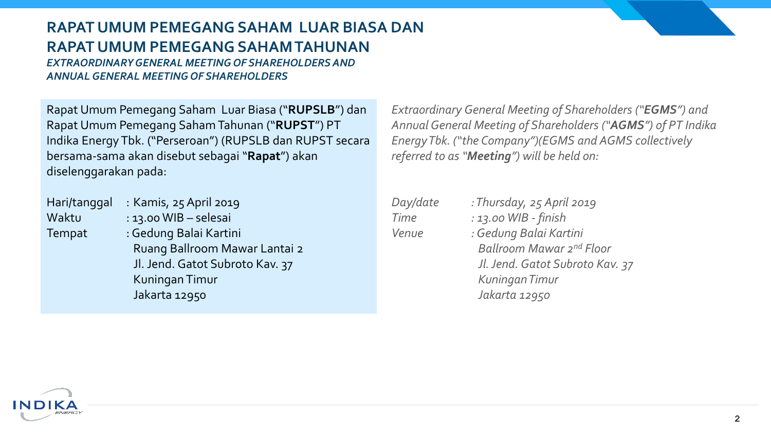# **RAPAT UMUM PEMEGANG SAHAM LUAR BIASA DAN RAPAT UMUM PEMEGANG SAHAM TAHUNAN**

*EXTRAORDINARY GENERAL MEETING OF SHAREHOLDERS AND ANNUAL GENERAL MEETING OF SHAREHOLDERS*

Rapat Umum Pemegang Saham Luar Biasa ("**RUPSLB**") dan Rapat Umum Pemegang Saham Tahunan ("**RUPST**") PT Indika Energy Tbk. ("Perseroan") (RUPSLB dan RUPST secara bersama-sama akan disebut sebagai "**Rapat**") akan diselenggarakan pada:

| Hari/tanggal  | : Kamis, 25 April 2019          |  |
|---------------|---------------------------------|--|
| Waktu         | : 13.00 WIB - selesai           |  |
| <b>Tempat</b> | : Gedung Balai Kartini          |  |
|               | Ruang Ballroom Mawar Lantai 2   |  |
|               | Jl. Jend. Gatot Subroto Kav. 37 |  |
|               | Kuningan Timur                  |  |
|               | Jakarta 12950                   |  |

*Extraordinary General Meeting of Shareholders ("EGMS") and Annual General Meeting of Shareholders ("AGMS") of PT Indika Energy Tbk. ("the Company")(EGMS and AGMS collectively referred to as "Meeting") will be held on:*

| Day/date | : Thursday, 25 April 2019       |
|----------|---------------------------------|
| Time     | : 13.00 WIB - finish            |
| Venue    | : Gedung Balai Kartini          |
|          | Ballroom Mawar 2nd Floor        |
|          | Jl. Jend. Gatot Subroto Kav. 37 |
|          | <b>Kuningan Timur</b>           |
|          | Jakarta 12950                   |
|          |                                 |

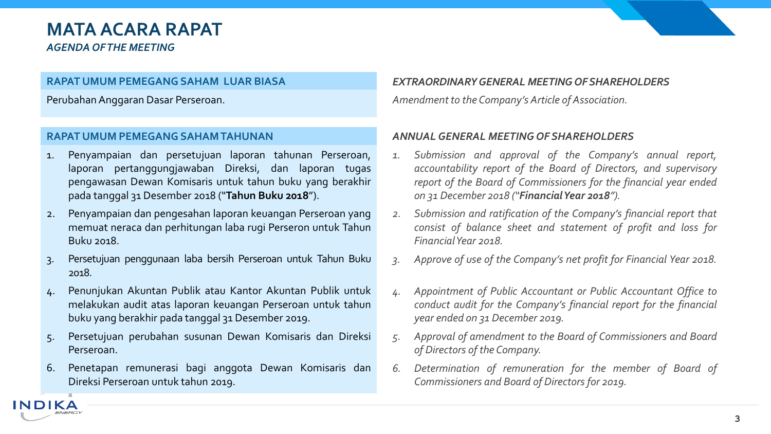# **MATA ACARA RAPAT**

*AGENDA OF THE MEETING*

INDIK

#### **RAPAT UMUM PEMEGANG SAHAM LUAR BIASA**

PerubahanAnggaran Dasar Perseroan.

## **RAPAT UMUM PEMEGANG SAHAMTAHUNAN**

- 1. Penyampaian dan persetujuan laporan tahunan Perseroan, laporan pertanggungjawaban Direksi, dan laporan tugas pengawasan Dewan Komisaris untuk tahun buku yang berakhir pada tanggal 31 Desember 2018 ("**Tahun Buku 2018**").
- 2. Penyampaian dan pengesahan laporan keuangan Perseroan yang memuat neraca dan perhitungan laba rugi Perseron untuk Tahun Buku 2018.
- 3. Persetujuan penggunaan laba bersih Perseroan untuk Tahun Buku 2018.
- 4. Penunjukan Akuntan Publik atau Kantor Akuntan Publik untuk melakukan audit atas laporan keuangan Perseroan untuk tahun buku yang berakhir pada tanggal 31 Desember 2019.
- 5. Persetujuan perubahan susunan Dewan Komisaris dan Direksi Perseroan.
- 6. Penetapan remunerasi bagi anggota Dewan Komisaris dan Direksi Perseroan untuk tahun 2019.

# *EXTRAORDINARYGENERAL MEETING OFSHAREHOLDERS*

Amendment to the Company's Article of Association.

# *ANNUALGENERAL MEETING OF SHAREHOLDERS*

- *1. Submission and approval of the Company's annual report, accountability report of the Board of Directors, and supervisory report of the Board of Commissioners for the financial year ended on 31 December 2018 ("FinancialYear 2018").*
- *2. Submission and ratification of the Company's financial report that consist of balance sheet and statement of profit and loss for FinancialYear 2018.*
- *3. Approve of use of the Company's net profit for Financial Year 2018.*
- *4. Appointment of Public Accountant or Public Accountant Office to conduct audit for the Company's financial report for the financial year ended on 31 December 2019.*
- *5. Approval of amendment to the Board of Commissioners and Board of Directors of the Company.*
- *6. Determination of remuneration for the member of Board of Commissioners and Board of Directors for 2019.*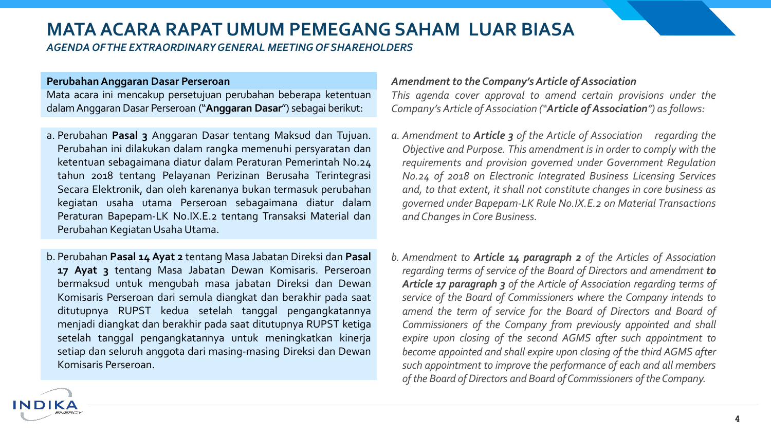# **MATA ACARA RAPAT UMUM PEMEGANG SAHAM LUAR BIASA**

*AGENDA OF THE EXTRAORDINARY GENERAL MEETING OF SHAREHOLDERS* 

#### **PerubahanAnggaran Dasar Perseroan**

IND

Mata acara ini mencakup persetujuan perubahan beberapa ketentuan dalamAnggaran Dasar Perseroan ("**Anggaran Dasar**") sebagai berikut:

- a. Perubahan **Pasal 3** Anggaran Dasar tentang Maksud dan Tujuan. Perubahan ini dilakukan dalam rangka memenuhi persyaratan dan ketentuan sebagaimana diatur dalam Peraturan Pemerintah No.24 tahun 2018 tentang Pelayanan Perizinan Berusaha Terintegrasi Secara Elektronik, dan oleh karenanya bukan termasuk perubahan kegiatan usaha utama Perseroan sebagaimana diatur dalam Peraturan Bapepam-LK No.IX.E.2 tentang Transaksi Material dan Perubahan Kegiatan Usaha Utama.
- b. Perubahan **Pasal 14 Ayat 2** tentang Masa Jabatan Direksi dan **Pasal 17 Ayat 3** tentang Masa Jabatan Dewan Komisaris. Perseroan bermaksud untuk mengubah masa jabatan Direksi dan Dewan Komisaris Perseroan dari semula diangkat dan berakhir pada saat ditutupnya RUPST kedua setelah tanggal pengangkatannya menjadi diangkat dan berakhir pada saat ditutupnya RUPST ketiga setelah tanggal pengangkatannya untuk meningkatkan kinerja setiap dan seluruh anggota dari masing-masing Direksi dan Dewan Komisaris Perseroan.

### *Amendmentto the Company'sArticle of Association*

*This agenda cover approval to amend certain provisions under the Company's Article of Association ("Article of Association") as follows:*

- *a. Amendment to Article 3 of the Article of Association regarding the Objective and Purpose. This amendment is in order to comply with the requirements and provision governed under Government Regulation No.24 of 2018 on Electronic Integrated Business Licensing Services and, to that extent, it shall not constitute changes in core business as governed under Bapepam-LK Rule No.IX.E.2 on Material Transactions and Changesin Core Business.*
- *b. Amendment to Article 14 paragraph 2 of the Articles of Association regarding terms of service of the Board of Directors and amendment to Article 17 paragraph 3 of the Article of Association regarding terms of service of the Board of Commissioners where the Company intends to amend the term of service for the Board of Directors and Board of Commissioners of the Company from previously appointed and shall expire upon closing of the second AGMS after such appointment to become appointed and shall expire upon closing of the third AGMS after such appointment to improve the performance of each and all members of the Board of Directors and Board ofCommissioners oftheCompany.*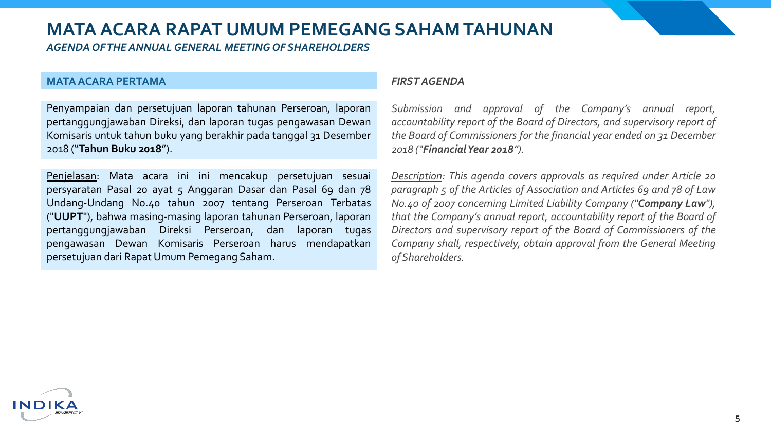*AGENDA OF THE ANNUAL GENERAL MEETING OF SHAREHOLDERS* 

#### **MATAACARA PERTAMA**

ND

Penyampaian dan persetujuan laporan tahunan Perseroan, laporan pertanggungjawaban Direksi, dan laporan tugas pengawasan Dewan Komisaris untuk tahun buku yang berakhir pada tanggal 31 Desember 2018 ("**Tahun Buku 2018**").

Penjelasan: Mata acara ini ini mencakup persetujuan sesuai persyaratan Pasal 20 ayat 5 Anggaran Dasar dan Pasal 69 dan 78 Undang-Undang No.40 tahun 2007 tentang Perseroan Terbatas ("**UUPT**"), bahwa masing-masing laporan tahunan Perseroan, laporan pertanggungjawaban Direksi Perseroan, dan laporan tugas pengawasan Dewan Komisaris Perseroan harus mendapatkan persetujuan dari RapatUmum Pemegang Saham.

#### *FIRST AGENDA*

*Submission and approval of the Company's annual report, accountability report of the Board of Directors, and supervisory report of the Board of Commissioners for the financial year ended on 31 December 2018 ("FinancialYear 2018").*

*Description: This agenda covers approvals as required under Article 20 paragraph 5 of the Articles of Association and Articles 69 and 78 of Law No.40 of 2007 concerning Limited Liability Company ("Company Law"), that the Company's annual report, accountability report of the Board of Directors and supervisory report of the Board of Commissioners of the Company shall, respectively, obtain approval from the General Meeting of Shareholders.*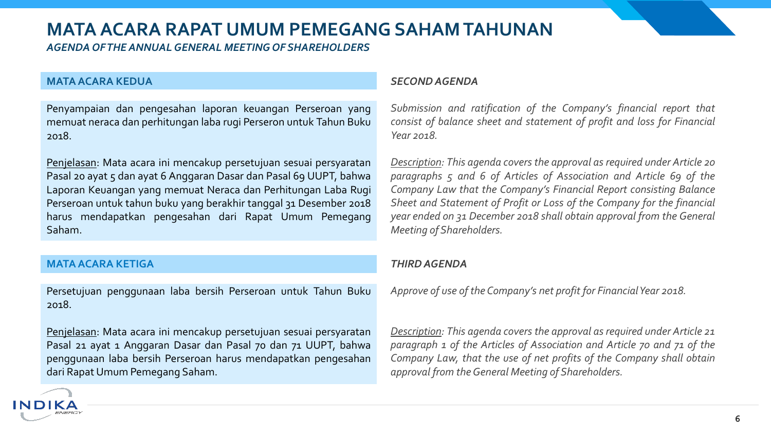*AGENDA OF THE ANNUAL GENERAL MEETING OF SHAREHOLDERS* 

### **MATAACARA KEDUA**

Penyampaian dan pengesahan laporan keuangan Perseroan yang memuat neraca dan perhitungan laba rugi Perseron untuk Tahun Buku 2018.

Penjelasan: Mata acara ini mencakup persetujuan sesuai persyaratan Pasal 20 ayat 5 dan ayat 6 Anggaran Dasar dan Pasal 69 UUPT, bahwa Laporan Keuangan yang memuat Neraca dan Perhitungan Laba Rugi Perseroan untuk tahun buku yang berakhir tanggal 31 Desember 2018 harus mendapatkan pengesahan dari Rapat Umum Pemegang Saham.

## **MATAACARA KETIGA**

INDI

Persetujuan penggunaan laba bersih Perseroan untuk Tahun Buku 2018.

Penjelasan: Mata acara ini mencakup persetujuan sesuai persyaratan Pasal 21 ayat 1 Anggaran Dasar dan Pasal 70 dan 71 UUPT, bahwa penggunaan laba bersih Perseroan harus mendapatkan pengesahan dari RapatUmum Pemegang Saham.

### *SECONDAGENDA*

*Submission and ratification of the Company's financial report that consist of balance sheet and statement of profit and loss for Financial Year 2018.*

*Description: This agenda covers the approval as required under Article 20 paragraphs 5 and 6 of Articles of Association and Article 69 of the Company Law that the Company's Financial Report consisting Balance Sheet and Statement of Profit or Loss of the Company for the financial year ended on 31 December 2018 shall obtain approval from the General Meeting of Shareholders.*

### *THIRDAGENDA*

*Approve of use of the Company's net profit for FinancialYear 2018.*

*Description: This agenda covers the approval as required under Article 21 paragraph 1 of the Articles of Association and Article 70 and 71 of the Company Law, that the use of net profits of the Company shall obtain approval from theGeneral Meeting of Shareholders.*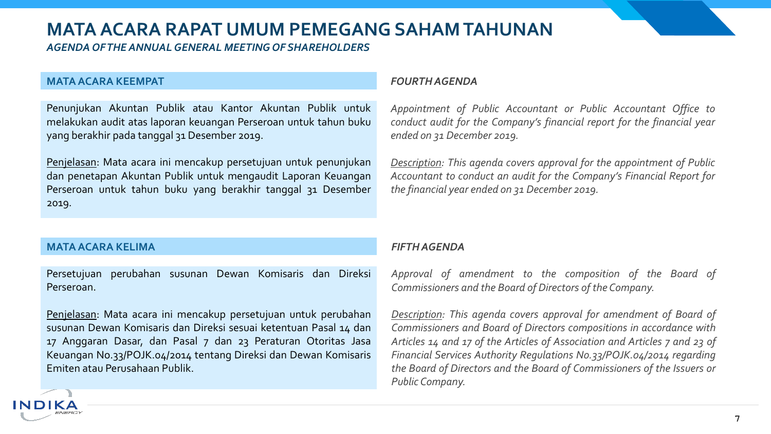*AGENDA OF THE ANNUAL GENERAL MEETING OF SHAREHOLDERS* 

#### **MATAACARA KEEMPAT**

Penunjukan Akuntan Publik atau Kantor Akuntan Publik untuk melakukan audit atas laporan keuangan Perseroan untuk tahun buku yang berakhir pada tanggal 31 Desember 2019.

Penjelasan: Mata acara ini mencakup persetujuan untuk penunjukan dan penetapan Akuntan Publik untuk mengaudit Laporan Keuangan Perseroan untuk tahun buku yang berakhir tanggal 31 Desember 2019.

### **MATAACARA KELIMA**

ND

Persetujuan perubahan susunan Dewan Komisaris dan Direksi Perseroan.

Penjelasan: Mata acara ini mencakup persetujuan untuk perubahan susunan Dewan Komisaris dan Direksi sesuai ketentuan Pasal 14 dan 17 Anggaran Dasar, dan Pasal 7 dan 23 Peraturan Otoritas Jasa Keuangan No.33/POJK.04/2014 tentang Direksi dan Dewan Komisaris Emiten atau Perusahaan Publik.

### *FOURTHAGENDA*

*Appointment of Public Accountant or Public Accountant Office to conduct audit for the Company's financial report for the financial year ended on 31 December 2019.*

*Description: This agenda covers approval for the appointment of Public Accountant to conduct an audit for the Company's Financial Report for the financial year ended on 31 December 2019.*

## *FIFTHAGENDA*

*Approval of amendment to the composition of the Board of Commissioners and the Board of Directors of the Company.*

*Description: This agenda covers approval for amendment of Board of Commissioners and Board of Directors compositions in accordance with Articles 14 and 17 of the Articles of Association and Articles 7 and 23 of Financial Services Authority Regulations No.33/POJK.04/2014 regarding the Board of Directors and the Board of Commissioners of the Issuers or Public Company.*